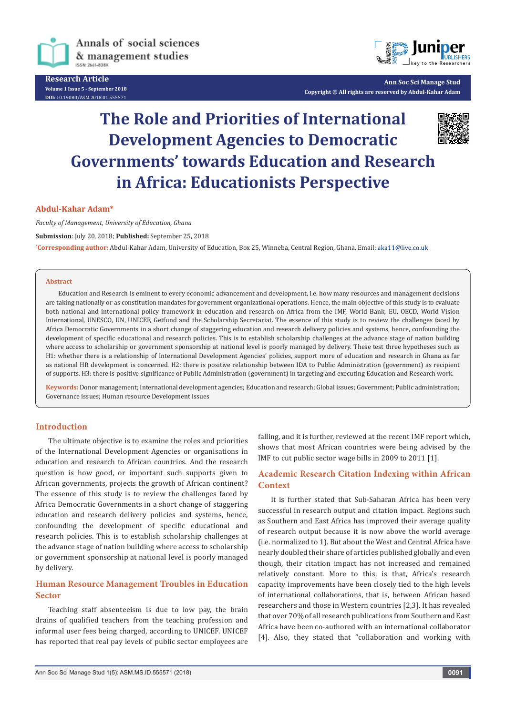

Annals of social sciences & management studies ISSN: 2641-838X

**Research Article Volume 1 Issue 5 - September 2018 DOI:** [10.19080/ASM.2018.01.555571](http://dx.doi.org/10.19080/ASM.2018.01.555571
)



**Ann Soc Sci Manage Stud Copyright © All rights are reserved by Abdul-Kahar Adam**

# **The Role and Priorities of International Development Agencies to Democratic Governments' towards Education and Research in Africa: Educationists Perspective**



#### **Abdul-Kahar Adam\***

*Faculty of Management, University of Education, Ghana*

**Submission**: July 20, 2018; **Published:** September 25, 2018

**\* Corresponding author:** Abdul-Kahar Adam, University of Education, Box 25, Winneba, Central Region, Ghana, Email:

#### **Abstract**

Education and Research is eminent to every economic advancement and development, i.e. how many resources and management decisions are taking nationally or as constitution mandates for government organizational operations. Hence, the main objective of this study is to evaluate both national and international policy framework in education and research on Africa from the IMF, World Bank, EU, OECD, World Vision International, UNESCO, UN, UNICEF, Getfund and the Scholarship Secretariat. The essence of this study is to review the challenges faced by Africa Democratic Governments in a short change of staggering education and research delivery policies and systems, hence, confounding the development of specific educational and research policies. This is to establish scholarship challenges at the advance stage of nation building where access to scholarship or government sponsorship at national level is poorly managed by delivery. These test three hypotheses such as H1: whether there is a relationship of International Development Agencies' policies, support more of education and research in Ghana as far as national HR development is concerned. H2: there is positive relationship between IDA to Public Administration (government) as recipient of supports. H3: there is positive significance of Public Administration (government) in targeting and executing Education and Research work.

**Keywords:** Donor management; International development agencies; Education and research; Global issues; Government; Public administration; Governance issues; Human resource Development issues

#### **Introduction**

The ultimate objective is to examine the roles and priorities of the International Development Agencies or organisations in education and research to African countries. And the research question is how good, or important such supports given to African governments, projects the growth of African continent? The essence of this study is to review the challenges faced by Africa Democratic Governments in a short change of staggering education and research delivery policies and systems, hence, confounding the development of specific educational and research policies. This is to establish scholarship challenges at the advance stage of nation building where access to scholarship or government sponsorship at national level is poorly managed by delivery.

# **Human Resource Management Troubles in Education Sector**

Teaching staff absenteeism is due to low pay, the brain drains of qualified teachers from the teaching profession and informal user fees being charged, according to UNICEF. UNICEF has reported that real pay levels of public sector employees are

falling, and it is further, reviewed at the recent IMF report which, shows that most African countries were being advised by the IMF to cut public sector wage bills in 2009 to 2011 [1].

# **Academic Research Citation Indexing within African Context**

It is further stated that Sub-Saharan Africa has been very successful in research output and citation impact. Regions such as Southern and East Africa has improved their average quality of research output because it is now above the world average (i.e. normalized to 1). But about the West and Central Africa have nearly doubled their share of articles published globally and even though, their citation impact has not increased and remained relatively constant. More to this, is that, Africa's research capacity improvements have been closely tied to the high levels of international collaborations, that is, between African based researchers and those in Western countries [2,3]. It has revealed that over 70% of all research publications from Southern and East Africa have been co-authored with an international collaborator [4]. Also, they stated that "collaboration and working with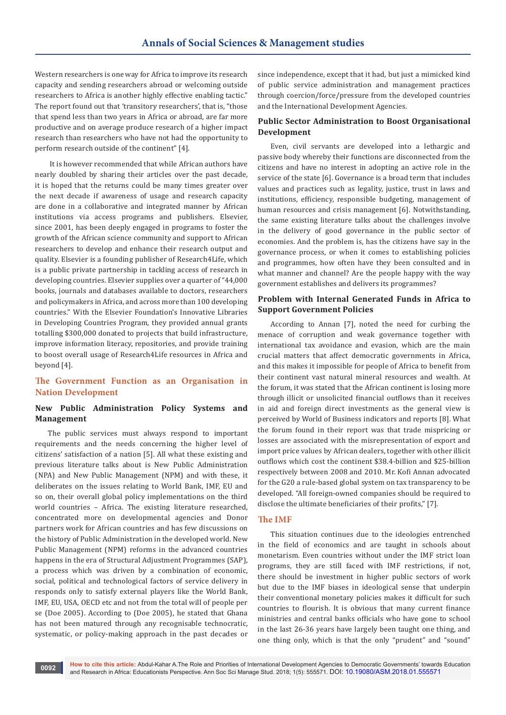Western researchers is one way for Africa to improve its research capacity and sending researchers abroad or welcoming outside researchers to Africa is another highly effective enabling tactic." The report found out that 'transitory researchers', that is, "those that spend less than two years in Africa or abroad, are far more productive and on average produce research of a higher impact research than researchers who have not had the opportunity to perform research outside of the continent" [4].

 It is however recommended that while African authors have nearly doubled by sharing their articles over the past decade, it is hoped that the returns could be many times greater over the next decade if awareness of usage and research capacity are done in a collaborative and integrated manner by African institutions via access programs and publishers. Elsevier, since 2001, has been deeply engaged in programs to foster the growth of the African science community and support to African researchers to develop and enhance their research output and quality. Elsevier is a founding publisher of Research4Life, which is a public private partnership in tackling access of research in developing countries. Elsevier supplies over a quarter of "44,000 books, journals and databases available to doctors, researchers and policymakers in Africa, and across more than 100 developing countries." With the Elsevier Foundation's Innovative Libraries in Developing Countries Program, they provided annual grants totalling \$300,000 donated to projects that build infrastructure, improve information literacy, repositories, and provide training to boost overall usage of Research4Life resources in Africa and beyond [4].

# **The Government Function as an Organisation in Nation Development**

# **New Public Administration Policy Systems and Management**

The public services must always respond to important requirements and the needs concerning the higher level of citizens' satisfaction of a nation [5]. All what these existing and previous literature talks about is New Public Administration (NPA) and New Public Management (NPM) and with these, it deliberates on the issues relating to World Bank, IMF, EU and so on, their overall global policy implementations on the third world countries – Africa. The existing literature researched, concentrated more on developmental agencies and Donor partners work for African countries and has few discussions on the history of Public Administration in the developed world. New Public Management (NPM) reforms in the advanced countries happens in the era of Structural Adjustment Programmes (SAP), a process which was driven by a combination of economic, social, political and technological factors of service delivery in responds only to satisfy external players like the World Bank, IMF, EU, USA, OECD etc and not from the total will of people per se (Doe 2005). According to (Doe 2005), he stated that Ghana has not been matured through any recognisable technocratic, systematic, or policy-making approach in the past decades or since independence, except that it had, but just a mimicked kind of public service administration and management practices through coercion/force/pressure from the developed countries and the International Development Agencies.

# **Public Sector Administration to Boost Organisational Development**

Even, civil servants are developed into a lethargic and passive body whereby their functions are disconnected from the citizens and have no interest in adopting an active role in the service of the state [6]. Governance is a broad term that includes values and practices such as legality, justice, trust in laws and institutions, efficiency, responsible budgeting, management of human resources and crisis management [6]. Notwithstanding, the same existing literature talks about the challenges involve in the delivery of good governance in the public sector of economies. And the problem is, has the citizens have say in the governance process, or when it comes to establishing policies and programmes, how often have they been consulted and in what manner and channel? Are the people happy with the way government establishes and delivers its programmes?

#### **Problem with Internal Generated Funds in Africa to Support Government Policies**

According to Annan [7], noted the need for curbing the menace of corruption and weak governance together with international tax avoidance and evasion, which are the main crucial matters that affect democratic governments in Africa, and this makes it impossible for people of Africa to benefit from their continent vast natural mineral resources and wealth. At the forum, it was stated that the African continent is losing more through illicit or unsolicited financial outflows than it receives in aid and foreign direct investments as the general view is perceived by World of Business indicators and reports [8]. What the forum found in their report was that trade mispricing or losses are associated with the misrepresentation of export and import price values by African dealers, together with other illicit outflows which cost the continent \$38.4-billion and \$25-billion respectively between 2008 and 2010. Mr. Kofi Annan advocated for the G20 a rule-based global system on tax transparency to be developed. "All foreign-owned companies should be required to disclose the ultimate beneficiaries of their profits," [7].

## **The IMF**

This situation continues due to the ideologies entrenched in the field of economics and are taught in schools about monetarism. Even countries without under the IMF strict loan programs, they are still faced with IMF restrictions, if not, there should be investment in higher public sectors of work but due to the IMF biases in ideological sense that underpin their conventional monetary policies makes it difficult for such countries to flourish. It is obvious that many current finance ministries and central banks officials who have gone to school in the last 26-36 years have largely been taught one thing, and one thing only, which is that the only "prudent" and "sound"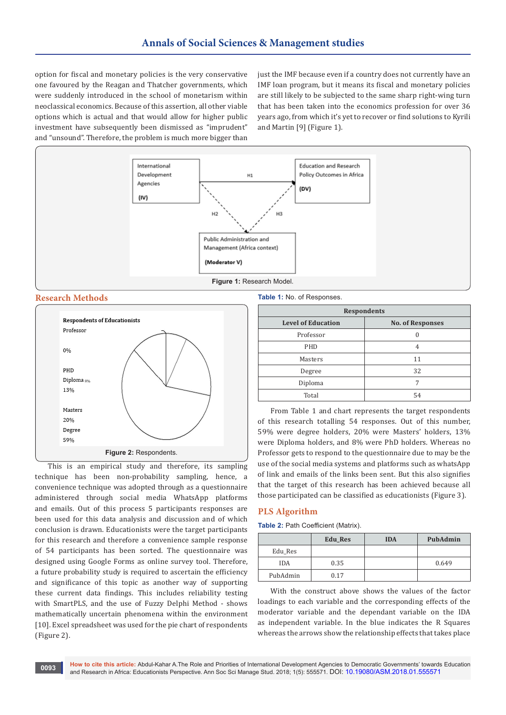option for fiscal and monetary policies is the very conservative one favoured by the Reagan and Thatcher governments, which were suddenly introduced in the school of monetarism within neoclassical economics. Because of this assertion, all other viable options which is actual and that would allow for higher public investment have subsequently been dismissed as "imprudent" and "unsound". Therefore, the problem is much more bigger than

just the IMF because even if a country does not currently have an IMF loan program, but it means its fiscal and monetary policies are still likely to be subjected to the same sharp right-wing turn that has been taken into the economics profession for over 36 years ago, from which it's yet to recover or find solutions to Kyrili and Martin [9] (Figure 1).



#### **Research Methods**



This is an empirical study and therefore, its sampling technique has been non-probability sampling, hence, a convenience technique was adopted through as a questionnaire administered through social media WhatsApp platforms and emails. Out of this process 5 participants responses are been used for this data analysis and discussion and of which conclusion is drawn. Educationists were the target participants for this research and therefore a convenience sample response of 54 participants has been sorted. The questionnaire was designed using Google Forms as online survey tool. Therefore, a future probability study is required to ascertain the efficiency and significance of this topic as another way of supporting these current data findings. This includes reliability testing with SmartPLS, and the use of Fuzzy Delphi Method - shows mathematically uncertain phenomena within the environment [10]. Excel spreadsheet was used for the pie chart of respondents (Figure 2).

**Table 1:** No. of Responses.

| <b>Respondents</b>                                   |    |  |  |
|------------------------------------------------------|----|--|--|
| <b>Level of Education</b><br><b>No. of Responses</b> |    |  |  |
| Professor                                            |    |  |  |
| PHD                                                  | 4  |  |  |
| Masters                                              | 11 |  |  |
| Degree                                               | 32 |  |  |
| Diploma                                              | 7  |  |  |
| Total                                                | 54 |  |  |

From Table 1 and chart represents the target respondents of this research totalling 54 responses. Out of this number, 59% were degree holders, 20% were Masters' holders, 13% were Diploma holders, and 8% were PhD holders. Whereas no Professor gets to respond to the questionnaire due to may be the use of the social media systems and platforms such as whatsApp of link and emails of the links been sent. But this also signifies that the target of this research has been achieved because all those participated can be classified as educationists (Figure 3).

## **PLS Algorithm**

**Table 2:** Path Coefficient (Matrix).

|            | <b>Edu Res</b> | <b>IDA</b> | PubAdmin |
|------------|----------------|------------|----------|
| Edu_Res    |                |            |          |
| <b>IDA</b> | 0.35           |            | 0.649    |
| PubAdmin   | 0.17           |            |          |

With the construct above shows the values of the factor loadings to each variable and the corresponding effects of the moderator variable and the dependant variable on the IDA as independent variable. In the blue indicates the R Squares whereas the arrows show the relationship effects that takes place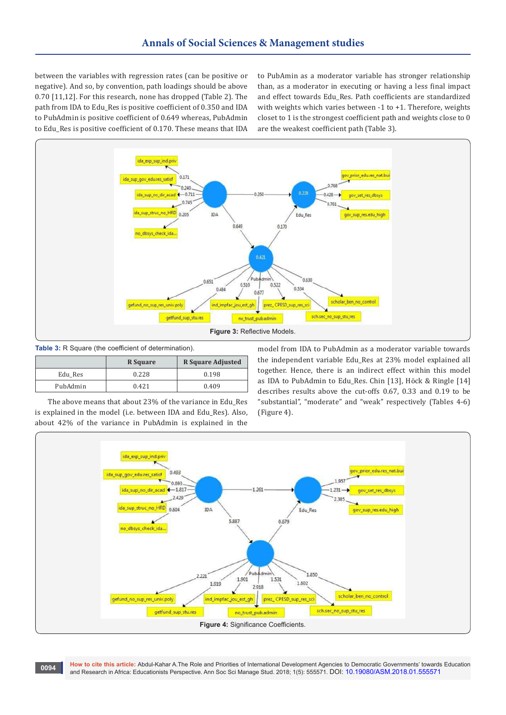between the variables with regression rates (can be positive or negative). And so, by convention, path loadings should be above 0.70 [11,12]. For this research, none has dropped (Table 2). The path from IDA to Edu\_Res is positive coefficient of 0.350 and IDA to PubAdmin is positive coefficient of 0.649 whereas, PubAdmin to Edu Res is positive coefficient of 0.170. These means that IDA to PubAmin as a moderator variable has stronger relationship than, as a moderator in executing or having a less final impact and effect towards Edu\_Res. Path coefficients are standardized with weights which varies between -1 to +1. Therefore, weights closet to 1 is the strongest coefficient path and weights close to 0 are the weakest coefficient path (Table 3).



**Table 3:** R Square (the coefficient of determination).

|          | R Square | <b>R</b> Square Adjusted |
|----------|----------|--------------------------|
| Edu Res  | 0.228    | 0.198                    |
| PubAdmin | 0.421    | 0.409                    |

The above means that about 23% of the variance in Edu\_Res is explained in the model (i.e. between IDA and Edu\_Res). Also, about 42% of the variance in PubAdmin is explained in the

model from IDA to PubAdmin as a moderator variable towards the independent variable Edu\_Res at 23% model explained all together. Hence, there is an indirect effect within this model as IDA to PubAdmin to Edu\_Res. Chin [13], Höck & Ringle [14] describes results above the cut-offs 0.67, 0.33 and 0.19 to be "substantial", "moderate" and "weak" respectively (Tables 4-6) (Figure 4).



**How to cite this article:** Abdul-Kahar A.The Role and Priorities of International Development Agencies to Democratic Governments' towards Education and Research in Africa: Educationists Perspective. Ann Soc Sci Manage Stud. 2018; 1(5): 555571. DO[I: 10.19080/ASM.2018.01.555571](http://dx.doi.org/10.19080/ASM.2018.01.555571
) **<sup>0094</sup>**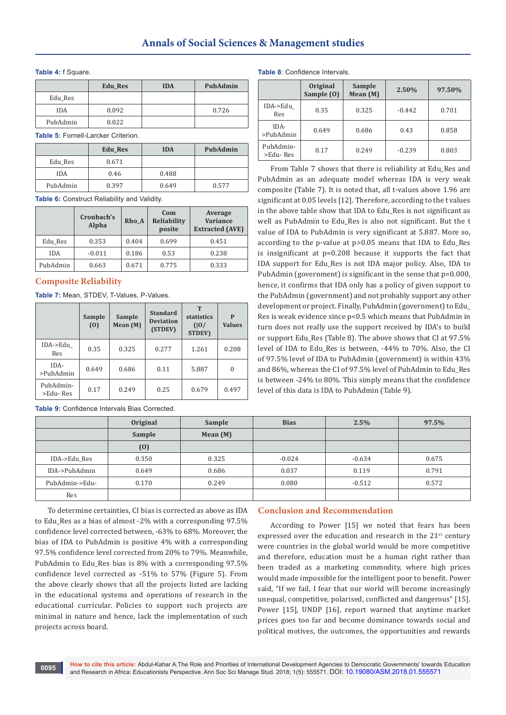#### **Table 4:** f Square.

|            | <b>Edu Res</b> | <b>IDA</b> | PubAdmin |
|------------|----------------|------------|----------|
| Edu_Res    |                |            |          |
| <b>IDA</b> | 0.092          |            | 0.726    |
| PubAdmin   | 0.022          |            |          |

**Table 5:** Fornell-Larcker Criterion.

|            | <b>Edu Res</b> | <b>IDA</b> | PubAdmin |
|------------|----------------|------------|----------|
| Edu Res    | 0.671          |            |          |
| <b>IDA</b> | 0.46           | 0.488      |          |
| PubAdmin   | 0.397          | 0.649      | 0.577    |

**Table 6:** Construct Reliability and Validity.

|            | Cronbach's<br>Alpha | Rho A | Com<br>Reliability<br>posite | Average<br><b>Variance</b><br><b>Extracted (AVE)</b> |
|------------|---------------------|-------|------------------------------|------------------------------------------------------|
| Edu Res    | 0.353               | 0.404 | 0.699                        | 0.451                                                |
| <b>IDA</b> | $-0.011$            | 0.186 | 0.53                         | 0.238                                                |
| PubAdmin   | 0.663               | 0.671 | 0.775                        | 0.333                                                |

## **Composite Reliability**

**Table 7:** Mean, STDEV, T-Values, P-Values.

|                       | <b>Sample</b><br>(0) | <b>Sample</b><br>Mean $(M)$ | <b>Standard</b><br><b>Deviation</b><br>(STDEV) | Т<br>statistics<br>(10)<br><b>STDEV)</b> | P<br><b>Values</b> |
|-----------------------|----------------------|-----------------------------|------------------------------------------------|------------------------------------------|--------------------|
| IDA->Edu<br>Res       | 0.35                 | 0.325                       | 0.277                                          | 1.261                                    | 0.208              |
| IDA-<br>>PubAdmin     | 0.649                | 0.686                       | 0.11                                           | 5.887                                    | 0                  |
| PubAdmin-<br>>Edu-Res | 0.17                 | 0.249                       | 0.25                                           | 0.679                                    | 0.497              |

**Table 9:** Confidence Intervals Bias Corrected.

**Table 8**: Confidence Intervals.

|                       | Original<br>Sample (0) | Sample<br>Mean (M) | 2.50%    | 97.50% |  |
|-----------------------|------------------------|--------------------|----------|--------|--|
| IDA->Edu<br>Res       | 0.35                   | 0.325              | $-0.442$ | 0.701  |  |
| IDA-<br>>PubAdmin     | 0.649                  | 0.686              | 0.43     | 0.858  |  |
| PubAdmin-<br>>Edu-Res | 0.17                   | 0.249              | $-0.239$ | 0.803  |  |

From Table 7 shows that there is reliability at Edu\_Res and PubAdmin as an adequate model whereas IDA is very weak composite (Table 7). It is noted that, all t-values above 1.96 are significant at 0.05 levels [12]. Therefore, according to the t values in the above table show that IDA to Edu\_Res is not significant as well as PubAdmin to Edu Res is also not significant. But the t value of IDA to PubAdmin is very significant at 5.887. More so, according to the p-value at p>0.05 means that IDA to Edu\_Res is insignificant at p=0.208 because it supports the fact that IDA support for Edu\_Res is not IDA major policy. Also, IDA to PubAdmin (government) is significant in the sense that p=0.000, hence, it confirms that IDA only has a policy of given support to the PubAdmin (government) and not probably support any other development or project. Finally, PubAdmin (government) to Edu\_ Res is weak evidence since p<0.5 which means that PubAdmin in turn does not really use the support received by IDA's to build or support Edu\_Res (Table 8). The above shows that CI at 97.5% level of IDA to Edu\_Res is between, -44% to 70%. Also, the CI of 97.5% level of IDA to PubAdmin (government) is within 43% and 86%, whereas the CI of 97.5% level of PubAdmin to Edu\_Res is between -24% to 80%. This simply means that the confidence level of this data is IDA to PubAdmin (Table 9).

|                | Original | Sample     | <b>Bias</b> | 2.5%     | 97.5% |
|----------------|----------|------------|-------------|----------|-------|
|                | Sample   | Mean $(M)$ |             |          |       |
|                | (0)      |            |             |          |       |
| IDA->Edu Res   | 0.350    | 0.325      | $-0.024$    | $-0.634$ | 0.675 |
| IDA->PubAdmin  | 0.649    | 0.686      | 0.037       | 0.119    | 0.791 |
| PubAdmin->Edu- | 0.170    | 0.249      | 0.080       | $-0.512$ | 0.572 |
| Res            |          |            |             |          |       |

To determine certainties, CI bias is corrected as above as IDA to Edu\_Res as a bias of almost -2% with a corresponding 97.5% confidence level corrected between, -63% to 68%. Moreover, the bias of IDA to PubAdmin is positive 4% with a corresponding 97.5% confidence level corrected from 20% to 79%. Meanwhile, PubAdmin to Edu\_Res bias is 8% with a corresponding 97.5% confidence level corrected as -51% to 57% (Figure 5). From the above clearly shows that all the projects listed are lacking in the educational systems and operations of research in the educational curricular. Policies to support such projects are minimal in nature and hence, lack the implementation of such projects across board.

## **Conclusion and Recommendation**

According to Power [15] we noted that fears has been expressed over the education and research in the  $21<sup>st</sup>$  century were countries in the global world would be more competitive and therefore, education must be a human right rather than been traded as a marketing commodity, where high prices would made impossible for the intelligent poor to benefit. Power said, "If we fail, I fear that our world will become increasingly unequal, competitive, polarised, conflicted and dangerous" [15]. Power [15], UNDP [16], report warned that anytime market prices goes too far and become dominance towards social and political motives, the outcomes, the opportunities and rewards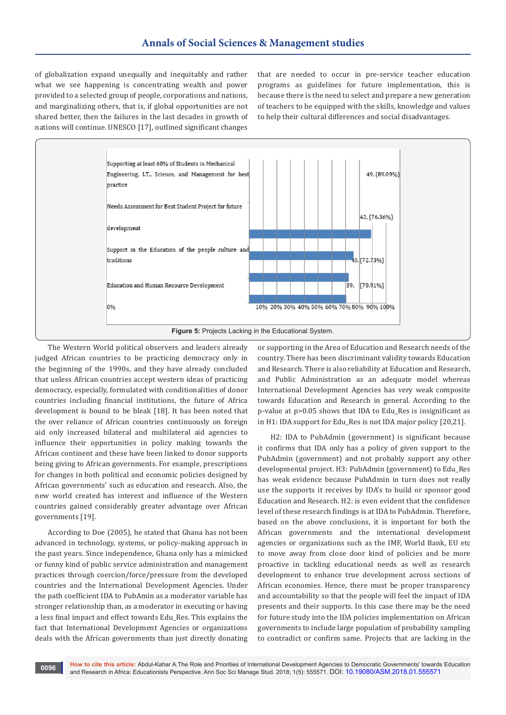of globalization expand unequally and inequitably and rather what we see happening is concentrating wealth and power provided to a selected group of people, corporations and nations, and marginalizing others, that is, if global opportunities are not shared better, then the failures in the last decades in growth of nations will continue. UNESCO [17], outlined significant changes

that are needed to occur in pre-service teacher education programs as guidelines for future implementation, this is because there is the need to select and prepare a new generation of teachers to be equipped with the skills, knowledge and values to help their cultural differences and social disadvantages.



The Western World political observers and leaders already judged African countries to be practicing democracy only in the beginning of the 1990s, and they have already concluded that unless African countries accept western ideas of practicing democracy, especially, formulated with conditionalities of donor countries including financial institutions, the future of Africa development is bound to be bleak [18]. It has been noted that the over reliance of African countries continuously on foreign aid only increased bilateral and multilateral aid agencies to influence their opportunities in policy making towards the African continent and these have been linked to donor supports being giving to African governments. For example, prescriptions for changes in both political and economic policies designed by African governments' such as education and research. Also, the new world created has interest and influence of the Western countries gained considerably greater advantage over African governments [19].

According to Doe (2005), he stated that Ghana has not been advanced in technology, systems, or policy-making approach in the past years. Since independence, Ghana only has a mimicked or funny kind of public service administration and management practices through coercion/force/pressure from the developed countries and the International Development Agencies. Under the path coefficient IDA to PubAmin as a moderator variable has stronger relationship than, as a moderator in executing or having a less final impact and effect towards Edu\_Res. This explains the fact that International Development Agencies or organizations deals with the African governments than just directly donating or supporting in the Area of Education and Research needs of the country. There has been discriminant validity towards Education and Research. There is also reliability at Education and Research, and Public Administration as an adequate model whereas International Development Agencies has very weak composite towards Education and Research in general. According to the p-value at p>0.05 shows that IDA to Edu\_Res is insignificant as in H1: IDA support for Edu\_Res is not IDA major policy [20,21].

H2: IDA to PubAdmin (government) is significant because it confirms that IDA only has a policy of given support to the PubAdmin (government) and not probably support any other developmental project. H3: PubAdmin (government) to Edu\_Res has weak evidence because PubAdmin in turn does not really use the supports it receives by IDA's to build or sponsor good Education and Research. H2: is even evident that the confidence level of these research findings is at IDA to PubAdmin. Therefore, based on the above conclusions, it is important for both the African governments and the international development agencies or organizations such as the IMF, World Bank, EU etc to move away from close door kind of policies and be more proactive in tackling educational needs as well as research development to enhance true development across sections of African economies. Hence, there must be proper transparency and accountability so that the people will feel the impact of IDA presents and their supports. In this case there may be the need for future study into the IDA policies implementation on African governments to include large population of probability sampling to contradict or confirm same. Projects that are lacking in the